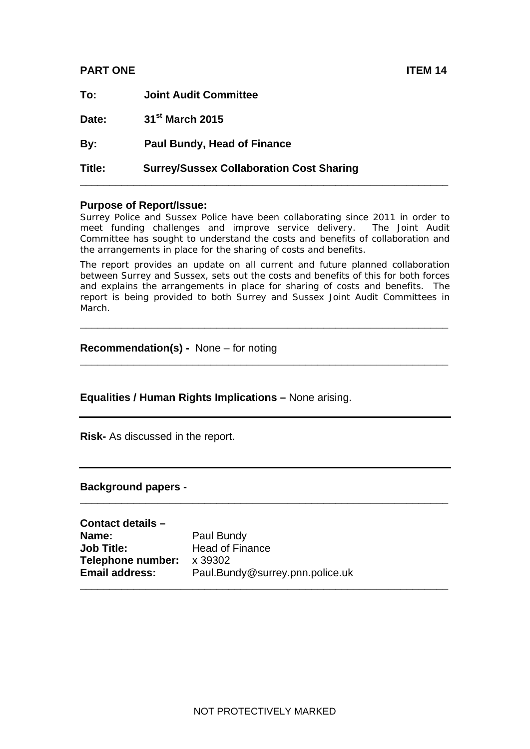# **PART ONE ITEM 14**

| Title: | <b>Surrey/Sussex Collaboration Cost Sharing</b> |
|--------|-------------------------------------------------|
| By:    | <b>Paul Bundy, Head of Finance</b>              |
| Date:  | 31 <sup>st</sup> March 2015                     |
| To:    | <b>Joint Audit Committee</b>                    |

#### **Purpose of Report/Issue:**

Surrey Police and Sussex Police have been collaborating since 2011 in order to meet funding challenges and improve service delivery. The Joint Audit Committee has sought to understand the costs and benefits of collaboration and the arrangements in place for the sharing of costs and benefits.

The report provides an update on all current and future planned collaboration between Surrey and Sussex, sets out the costs and benefits of this for both forces and explains the arrangements in place for sharing of costs and benefits. The report is being provided to both Surrey and Sussex Joint Audit Committees in March.

**\_\_\_\_\_\_\_\_\_\_\_\_\_\_\_\_\_\_\_\_\_\_\_\_\_\_\_\_\_\_\_\_\_\_\_\_\_\_\_\_\_\_\_\_\_\_\_\_\_\_\_\_\_\_\_\_\_\_\_\_\_\_** 

**\_\_\_\_\_\_\_\_\_\_\_\_\_\_\_\_\_\_\_\_\_\_\_\_\_\_\_\_\_\_\_\_\_\_\_\_\_\_\_\_\_\_\_\_\_\_\_\_\_\_\_\_\_\_\_\_\_\_\_\_\_\_** 

**\_\_\_\_\_\_\_\_\_\_\_\_\_\_\_\_\_\_\_\_\_\_\_\_\_\_\_\_\_\_\_\_\_\_\_\_\_\_\_\_\_\_\_\_\_\_\_\_\_\_\_\_\_\_\_\_\_\_\_\_\_\_** 

#### **Recommendation(s) -** None – for noting

#### **Equalities / Human Rights Implications –** None arising.

**Risk-** As discussed in the report.

#### **Background papers -**

| Contact details -     |                                 |
|-----------------------|---------------------------------|
| Name:                 | Paul Bundy                      |
| <b>Job Title:</b>     | <b>Head of Finance</b>          |
| Telephone number:     | x 39302                         |
| <b>Email address:</b> | Paul.Bundy@surrey.pnn.police.uk |
|                       |                                 |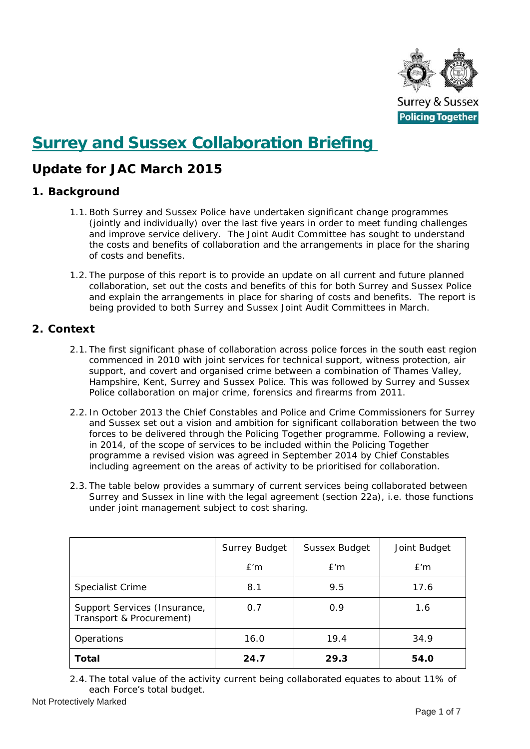

# **Surrey and Sussex Collaboration Briefing**

# **Update for JAC March 2015**

# **1. Background**

- 1.1. Both Surrey and Sussex Police have undertaken significant change programmes the costs and benefits of collaboration and the arrangements in place for the sharing (jointly and individually) over the last five years in order to meet funding challenges and improve service delivery. The Joint Audit Committee has sought to understand of costs and benefits.
- 1.2. The purpose of this report is to provide an update on all current and future planned and explain the arrangements in place for sharing of costs and benefits. The report is being provided to both Surrey and Sussex Joint Audit Committees in March. collaboration, set out the costs and benefits of this for both Surrey and Sussex Police

# **2. Context**

- 2.1. The first significant phase of collaboration across police forces in the south east region Hampshire, Kent, Surrey and Sussex Police. This was followed by Surrey and Sussex commenced in 2010 with joint services for technical support, witness protection, air support, and covert and organised crime between a combination of Thames Valley, Police collaboration on major crime, forensics and firearms from 2011.
- 2.2. In October 2013 the Chief Constables and Police and Crime Commissioners for Surrey forces to be delivered through the Policing Together programme. Following a review, including agreement on the areas of activity to be prioritised for collaboration. and Sussex set out a vision and ambition for significant collaboration between the two in 2014, of the scope of services to be included within the Policing Together programme a revised vision was agreed in September 2014 by Chief Constables
- 2.3. The table below provides a summary of current services being collaborated between Surrey and Sussex in line with the legal agreement (section 22a), i.e. those functions under joint management subject to cost sharing.

|                                                          | <b>Surrey Budget</b> | Sussex Budget | Joint Budget |
|----------------------------------------------------------|----------------------|---------------|--------------|
|                                                          | E'm                  | E'm           | E'm          |
| <b>Specialist Crime</b>                                  | 8.1                  | 9.5           | 17.6         |
| Support Services (Insurance,<br>Transport & Procurement) | 0.7                  | 0.9           | 1.6          |
| Operations                                               | 16.0                 | 19.4          | 34.9         |
| Total                                                    | 24.7                 | 29.3          | 54.0         |

2.4. The total value of the activity current being collaborated equates to about 11% of each Force's total budget.

Not Protectively Marked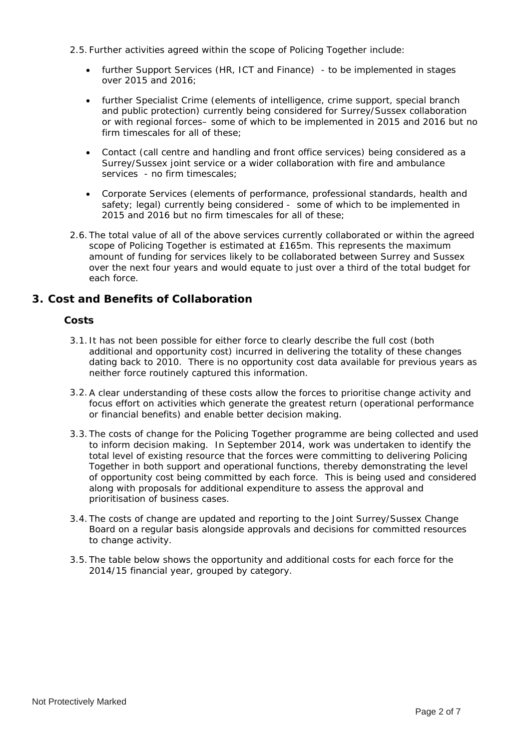- 2.5. Further activities agreed within the scope of Policing Together include:
	- further Support Services (HR, ICT and Finance) to be implemented in stages over 2015 and 2016;
	- further Specialist Crime (elements of intelligence, crime support, special branch or with regional forces– some of which to be implemented in 2015 and 2016 but no firm timescales for all of these; and public protection) currently being considered for Surrey/Sussex collaboration
	- Contact (call centre and handling and front office services) being considered as a Surrey/Sussex joint service or a wider collaboration with fire and ambulance services - no firm timescales;
	- Corporate Services (elements of performance, professional standards, health and safety; legal) currently being considered - some of which to be implemented in 2015 and 2016 but no firm timescales for all of these;
- 2.6. The total value of all of the above services currently collaborated or within the agreed over the next four years and would equate to just over a third of the total budget for scope of Policing Together is estimated at £165m. This represents the maximum amount of funding for services likely to be collaborated between Surrey and Sussex each force.

# **3. Cost and Benefits of Collaboration**

## **Costs**

- 3.1. It has not been possible for either force to clearly describe the full cost (both dating back to 2010. There is no opportunity cost data available for previous years as additional and opportunity cost) incurred in delivering the totality of these changes neither force routinely captured this information.
- 3.2. A clear understanding of these costs allow the forces to prioritise change activity and focus effort on activities which generate the greatest return (operational performance or financial benefits) and enable better decision making.
- 3.3. The costs of change for the Policing Together programme are being collected and used of opportunity cost being committed by each force. This is being used and considered along with proposals for additional expenditure to assess the approval and to inform decision making. In September 2014, work was undertaken to identify the total level of existing resource that the forces were committing to delivering Policing Together in both support and operational functions, thereby demonstrating the level prioritisation of business cases.
- 3.4. The costs of change are updated and reporting to the Joint Surrey/Sussex Change Board on a regular basis alongside approvals and decisions for committed resources to change activity.
- 3.5. The table below shows the opportunity and additional costs for each force for the 2014/15 financial year, grouped by category.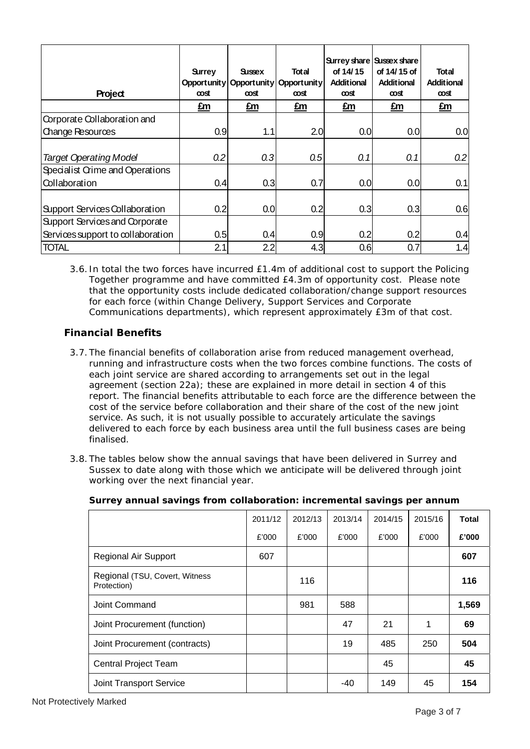| Project                           | <b>Surrey</b><br>Opport unity<br><b>cost</b> | <b>Sussex</b><br><b>cost</b> | <b>Total</b><br>Opport unity   Opport unity<br>œσst | of 14/15<br><b>Additional</b><br>œσst | Surrey share   Sussex share<br>of 14/15 of<br><b>Additional</b><br>œσst | <b>Total</b><br><b>Additional</b><br><b>cost</b> |
|-----------------------------------|----------------------------------------------|------------------------------|-----------------------------------------------------|---------------------------------------|-------------------------------------------------------------------------|--------------------------------------------------|
|                                   | £m                                           | £m                           | £m                                                  | £m                                    | $E_m$                                                                   | £m                                               |
| Corporate Collaboration and       |                                              |                              |                                                     |                                       |                                                                         |                                                  |
| <b>Change Resources</b>           | 0.9                                          | 1.1                          | 2.0                                                 | 0.0                                   | 0.0                                                                     | 0.0                                              |
|                                   |                                              |                              |                                                     |                                       |                                                                         |                                                  |
| <b>Target Operating Model</b>     | 0.2                                          | 0.3                          | 0.5                                                 | 0.1                                   | 0.1                                                                     | 0.2                                              |
| Specialist Crime and Operations   |                                              |                              |                                                     |                                       |                                                                         |                                                  |
| Collaboration                     | 0.4                                          | 0.3                          | 0.7                                                 | 0.0                                   | 0.0                                                                     | 0.1                                              |
|                                   |                                              |                              |                                                     |                                       |                                                                         |                                                  |
| Support Services Collaboration    | 0.2                                          | 0.0                          | 0.2                                                 | 0.3                                   | 0.3                                                                     | 0.6                                              |
| Support Services and Corporate    |                                              |                              |                                                     |                                       |                                                                         |                                                  |
| Services support to collaboration | 0.5                                          | 0.4                          | 0.9                                                 | 0.2                                   | 0.2                                                                     | 0.4                                              |
| <b>TOTAL</b>                      | 2.1                                          | 2.2                          | 4.3                                                 | 0.6                                   | 0.7                                                                     | 1.4                                              |

3.6. In total the two forces have incurred £1.4m of additional cost to support the Policing Together programme and have committed £4.3m of opportunity cost. Please note that the opportunity costs include dedicated collaboration/change suppor t resources for each force (within Change Delivery, Support Services and Corporate Communications departments), which represent approximately £3m of that cost.

# **Financial Benefits**

- 3.7. The financial benefits of collaboration arise from reduced management overhead, running and infrastructure costs when the two forces combine functions. The costs of report. The financial benefits attributable to each force are the difference between the cost of the service before collaboration and their share of the cost of the new joint delivered to each force by each business area until the full business cases are being each joint service are shared according to arrangements set out in the legal agreement (section 22a); these are explained in more detail in section 4 of this service. As such, it is not usually possible to accurately articulate the savings finalised.
- 3.8. The tables below show the annual savings that have been delivered in Surrey and Sussex to date along with those which we anticipate will be delivered through joint working over the next financial year.

|                                               | 2011/12 | 2012/13 | 2013/14 | 2014/15 | 2015/16 | <b>Total</b> |
|-----------------------------------------------|---------|---------|---------|---------|---------|--------------|
|                                               | £'000   | £'000   | £'000   | £'000   | £'000   | £'000        |
| <b>Regional Air Support</b>                   | 607     |         |         |         |         | 607          |
| Regional (TSU, Covert, Witness<br>Protection) |         | 116     |         |         |         | 116          |
| Joint Command                                 |         | 981     | 588     |         |         | 1,569        |
| Joint Procurement (function)                  |         |         | 47      | 21      | 1       | 69           |
| Joint Procurement (contracts)                 |         |         | 19      | 485     | 250     | 504          |
| <b>Central Project Team</b>                   |         |         |         | 45      |         | 45           |
| <b>Joint Transport Service</b>                |         |         | -40     | 149     | 45      | 154          |

#### **Surrey annual savings from collaboration: incremental savings per annum**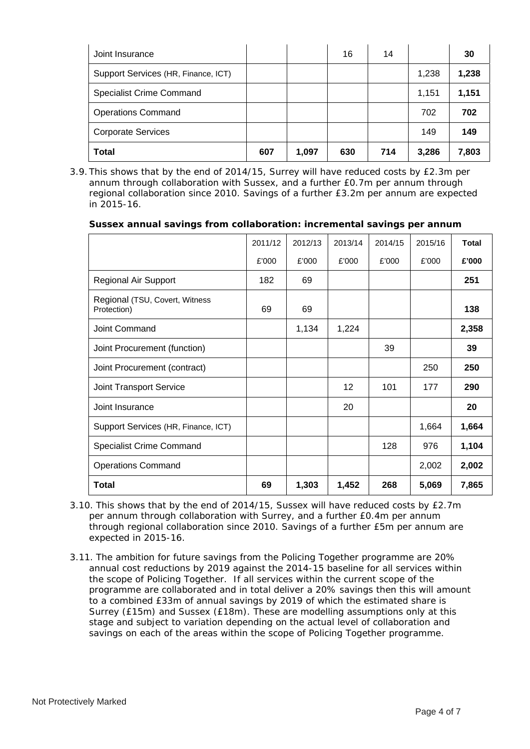| Joint Insurance                     |     |       | 16  | 14  |       | 30    |
|-------------------------------------|-----|-------|-----|-----|-------|-------|
| Support Services (HR, Finance, ICT) |     |       |     |     | 1,238 | 1,238 |
| <b>Specialist Crime Command</b>     |     |       |     |     | 1,151 | 1,151 |
| <b>Operations Command</b>           |     |       |     |     | 702   | 702   |
| <b>Corporate Services</b>           |     |       |     |     | 149   | 149   |
| <b>Total</b>                        | 607 | 1,097 | 630 | 714 | 3,286 | 7,803 |

3.9. This shows that by the end of 2014/15, Surrey will have reduced costs by £2.3m per regional collaboration since 2010. Savings of a further £3.2m per annum are expected annum through collaboration with Sussex, and a further £0.7m per annum through in 2015-16.

| Sussex annual savings from collaboration: incremental savings per annum |  |
|-------------------------------------------------------------------------|--|
|-------------------------------------------------------------------------|--|

|                                               | 2011/12 | 2012/13 | 2013/14 | 2014/15 | 2015/16 | Total |
|-----------------------------------------------|---------|---------|---------|---------|---------|-------|
|                                               | £'000   | £'000   | £'000   | £'000   | £'000   | £'000 |
| Regional Air Support                          | 182     | 69      |         |         |         | 251   |
| Regional (TSU, Covert, Witness<br>Protection) | 69      | 69      |         |         |         | 138   |
| Joint Command                                 |         | 1,134   | 1,224   |         |         | 2,358 |
| Joint Procurement (function)                  |         |         |         | 39      |         | 39    |
| Joint Procurement (contract)                  |         |         |         |         | 250     | 250   |
| Joint Transport Service                       |         |         | 12      | 101     | 177     | 290   |
| Joint Insurance                               |         |         | 20      |         |         | 20    |
| Support Services (HR, Finance, ICT)           |         |         |         |         | 1,664   | 1,664 |
| <b>Specialist Crime Command</b>               |         |         |         | 128     | 976     | 1,104 |
| <b>Operations Command</b>                     |         |         |         |         | 2,002   | 2,002 |
| <b>Total</b>                                  | 69      | 1,303   | 1,452   | 268     | 5,069   | 7,865 |

- 3.10. This shows that by the end of 2014/15, Sussex will have reduced costs by  $£2.7m$ through regional collaboration since 2010. Savings of a further £5m per annum are per annum through collaboration with Surrey, and a further £0.4m per annum expected in 2015-16.
- 3.11 . The ambition for future savings from the Policing Together programme are 20% annual cost reductions by 2019 against the 2014-15 baseline for all services within programme are collaborated and in total deliver a 20% savings then this will amount savings on each of the areas within the scope of Policing Together programme. the scope of Policing Together. If all services within the current scope of the to a combined £33m of annual savings by 2019 of which the estimated share is Surrey (£15m) and Sussex (£18m). These are modelling assumptions only at this stage and subject to variation depending on the actual level of collaboration and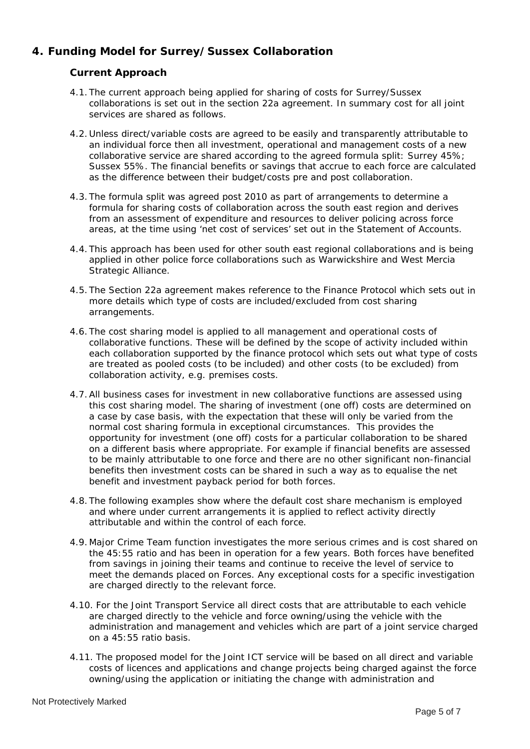# **4. Funding Model for Surrey/Sussex Collaboration**

# **Cur rent Approach**

- 4.1. The current approach being applied for sharing of costs for Surrey/Sussex collaborations is set out in the section 22a agreement. In summary cost for all joint services are shared as follows.
- 4.2. Unless direct/variable costs are agreed to be easily and transparently attributable to an individual force then all investment, operational and management costs of a new collaborative service are shared according to the agreed formula split: Surrey 45%; Sussex 55%. The financial benefits or savings that accrue to each force are calculated as the difference between their budget/costs pre and post collaboration.
- 4.3. The formula split was agreed post 2010 as part of arrangements to determine a areas, at the time using 'net cost of services' set out in the Statement of Accounts. formula for sharing costs of collaboration across the south east region and derives from an assessment of expenditure and resources to deliver policing across force
- 4.4. This approach has been used for other south east regional collaborations and is being applied in other police force collaborations such as Warwickshire and West Mercia Strategic Alliance.
- 4.5. The Section 22a agreement makes reference to the Finance Protocol which sets out in more details which type of costs are included/excluded from cost sharing arrangements.
- 4.6. The cost sharing model is applied to all management and operational costs of collaborative functions. These will be defined by the scope of activity included within each collaboration supported by the finance protocol which sets out what type of costs are treated as pooled costs (to be included) and other costs (to be excluded) from collaboration activity, e.g. premises costs.
- 4.7. All business cases for investment in new collaborative functions are assessed using on a different basis where appropriate. For example if financial benefits are assessed this cost sharing model. The sharing of investment (one off) costs are determined on a case by case basis, with the expectation that these will only be varied from the normal cost sharing formula in exceptional circumstances. This provides the opportunity for investment (one off) costs for a particular collaboration to be shared to be mainly attributable to one force and there are no other significant non-financial benefits then investment costs can be shared in such a way as to equalise the net benefit and investment payback period for both forces.
- 4.8. The following examples show where the default cost share mechanism is employed and where under current arrangements it is applied to reflect activity directly attributable and within the control of each force.
- 4.9. Major Crime Team function investigates the more serious crimes and is cost shared on the 45:55 ratio and has been in operation for a few years. Both forces have benefited from savings in joining their teams and continue to receive the level of service to meet the demands placed on Forces. Any exceptional costs for a specific investigation are charged directly to the relevant force.
- 4.10. For the Joint Transport Service all direct costs that are attributable to each vehicle are charged directly to the vehicle and force owning/using the vehicle with the administration and management and vehicles which are part of a joint service charged on a 45:55 ratio basis.
- 4.11. The proposed model for the Joint ICT service will be based on all direct and variable costs of licences and applications and change projects being charged against the force owning/using the application or initiating the change with administration and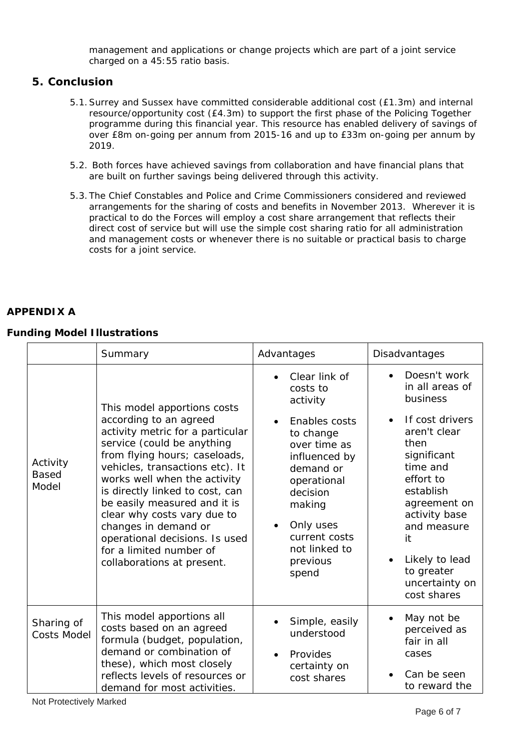management and applications or change projects which are part of a joint service charged on a 45:55 ratio basis.

## **5. Conclu sion**

- 5.1. Surrey and Sussex have committed considerable additional cost (£1.3m) and internal  $resource/opportunity cost (E4.3m)$  to support the first phase of the Policing Together programme during this financial year. This resource has enabled delivery of savings of over £8m on-going per annum from 2015-16 and up to £33m on-going per annum by 2019.
- 5.2. Both forces have achieved savings from collaboration and have financial plans that are built on further savings being delivered through this activity.
- 5.3. The Chief Constables and Police and Crime Commissioners considered and reviewed arrangements for the sharing of costs and benefits in November 2013. Wherever it is practical to do the Forces will employ a cost share arrangement that reflects their direct cost of service but will use the simple cost sharing ratio for all administration and management costs or whenever there is no suitable or practical basis to charge costs for a joint service.

#### **APPENDIX A**

#### **Funding Model Illustrations**

|                                   | Summary                                                                                                                                                                                                                                                                                                                                                                                                                                          | Advantages                                                                                                                                                                                                                 | Disadvantages                                                                                                                                                                                                                                                                   |
|-----------------------------------|--------------------------------------------------------------------------------------------------------------------------------------------------------------------------------------------------------------------------------------------------------------------------------------------------------------------------------------------------------------------------------------------------------------------------------------------------|----------------------------------------------------------------------------------------------------------------------------------------------------------------------------------------------------------------------------|---------------------------------------------------------------------------------------------------------------------------------------------------------------------------------------------------------------------------------------------------------------------------------|
| Activity<br><b>Based</b><br>Model | This model apportions costs<br>according to an agreed<br>activity metric for a particular<br>service (could be anything<br>from flying hours; caseloads,<br>vehicles, transactions etc). It<br>works well when the activity<br>is directly linked to cost, can<br>be easily measured and it is<br>clear why costs vary due to<br>changes in demand or<br>operational decisions. Is used<br>for a limited number of<br>collaborations at present. | Clear link of<br>costs to<br>activity<br>Enables costs<br>to change<br>over time as<br>influenced by<br>demand or<br>operational<br>decision<br>making<br>Only uses<br>current costs<br>not linked to<br>previous<br>spend | Doesn't work<br>in all areas of<br>business<br>If cost drivers<br>$\bullet$<br>aren't clear<br>then<br>significant<br>time and<br>effort to<br>establish<br>agreement on<br>activity base<br>and measure<br>it<br>Likely to lead<br>to greater<br>uncertainty on<br>cost shares |
| Sharing of<br><b>Costs Model</b>  | This model apportions all<br>costs based on an agreed<br>formula (budget, population,<br>demand or combination of<br>these), which most closely<br>reflects levels of resources or<br>demand for most activities.                                                                                                                                                                                                                                | Simple, easily<br>understood<br>Provides<br>certainty on<br>cost shares                                                                                                                                                    | May not be<br>perceived as<br>fair in all<br>cases<br>Can be seen<br>to reward the                                                                                                                                                                                              |